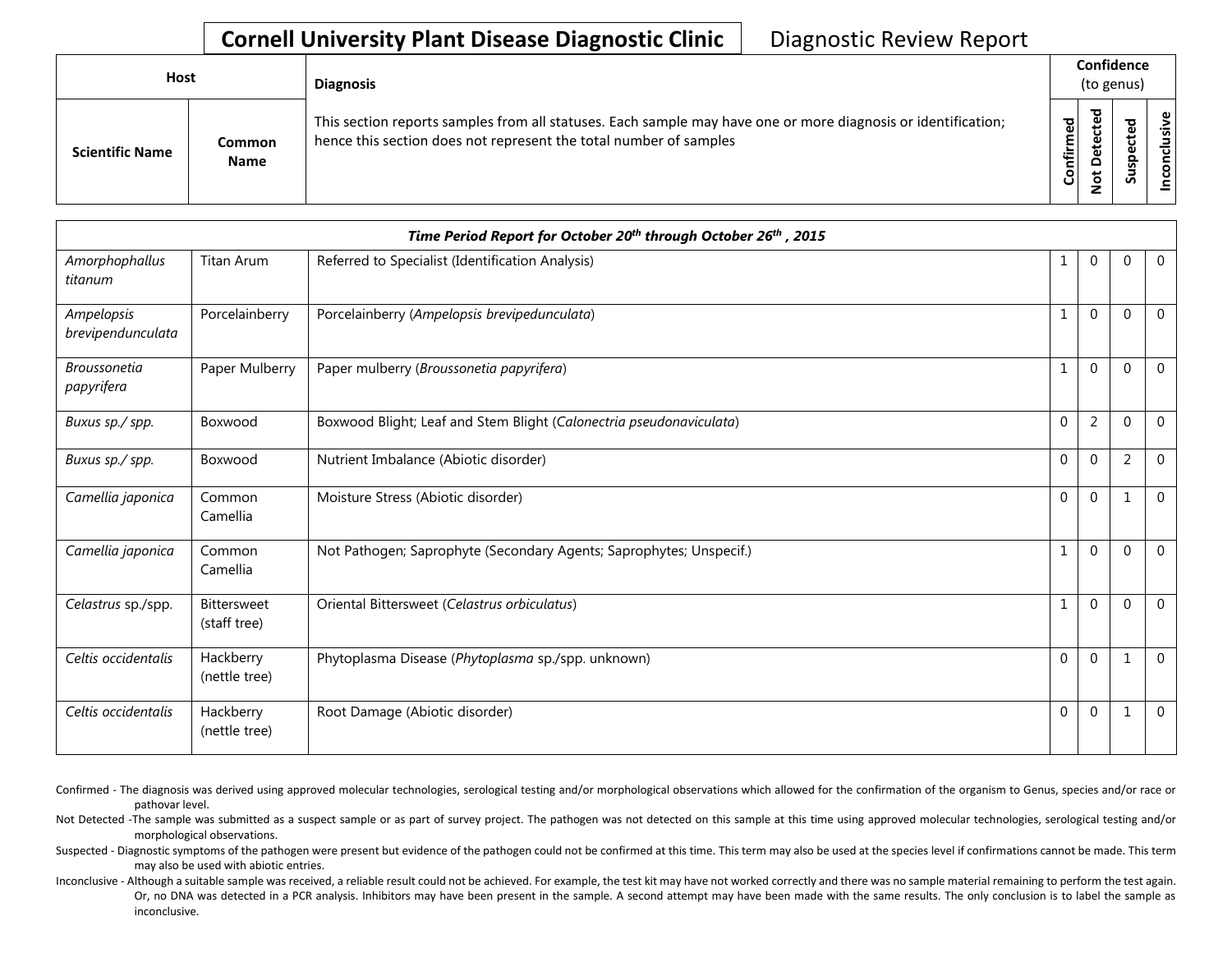## **Cornell University Plant Disease Diagnostic Clinic** | Diagnostic Review Report

| Host                   |                       | <b>Diagnosis</b>                                                                                                                                                                                                                                                 |              | Confidence<br>(to genus) |  |  |  |
|------------------------|-----------------------|------------------------------------------------------------------------------------------------------------------------------------------------------------------------------------------------------------------------------------------------------------------|--------------|--------------------------|--|--|--|
| <b>Scientific Name</b> | Common<br><b>Name</b> | ᇃ<br>This section reports samples from all statuses. Each sample may have one or more diagnosis or identification;<br>ω<br>ਠ<br>ω<br>ঢ<br>Confirm<br>hence this section does not represent the total number of samples<br>ω<br>ىپ<br>ά<br>۵<br>پ<br>$\circ$<br>- | ਠ<br>s<br>ഄഁ | ω<br>usiv                |  |  |  |

|                                   |                                    | Time Period Report for October 20th through October 26th, 2015      |              |                |                |              |
|-----------------------------------|------------------------------------|---------------------------------------------------------------------|--------------|----------------|----------------|--------------|
| Amorphophallus<br>titanum         | Titan Arum                         | Referred to Specialist (Identification Analysis)                    | 1            | $\Omega$       | $\Omega$       | $\mathbf{0}$ |
| Ampelopsis<br>brevipendunculata   | Porcelainberry                     | Porcelainberry (Ampelopsis brevipedunculata)                        | 1            | $\Omega$       | $\Omega$       | $\Omega$     |
| <b>Broussonetia</b><br>papyrifera | Paper Mulberry                     | Paper mulberry (Broussonetia papyrifera)                            | 1            | $\Omega$       | $\Omega$       | $\Omega$     |
| Buxus sp./ spp.                   | Boxwood                            | Boxwood Blight; Leaf and Stem Blight (Calonectria pseudonaviculata) | $\mathbf{0}$ | $\overline{2}$ | $\Omega$       | $\theta$     |
| Buxus sp./ spp.                   | Boxwood                            | Nutrient Imbalance (Abiotic disorder)                               | $\mathbf{0}$ | $\mathbf{0}$   | $\overline{2}$ | $\Omega$     |
| Camellia japonica                 | Common<br>Camellia                 | Moisture Stress (Abiotic disorder)                                  | $\mathbf{0}$ | $\mathbf{0}$   | $\mathbf{1}$   | $\mathbf 0$  |
| Camellia japonica                 | Common<br>Camellia                 | Not Pathogen; Saprophyte (Secondary Agents; Saprophytes; Unspecif.) | $\mathbf{1}$ | $\Omega$       | $\Omega$       | $\Omega$     |
| Celastrus sp./spp.                | <b>Bittersweet</b><br>(staff tree) | Oriental Bittersweet (Celastrus orbiculatus)                        | 1            | $\mathbf{0}$   | $\Omega$       | $\Omega$     |
| Celtis occidentalis               | Hackberry<br>(nettle tree)         | Phytoplasma Disease (Phytoplasma sp./spp. unknown)                  | $\mathbf 0$  | $\Omega$       | $\mathbf{1}$   | $\Omega$     |
| Celtis occidentalis               | Hackberry<br>(nettle tree)         | Root Damage (Abiotic disorder)                                      | $\mathbf{0}$ | $\mathbf{0}$   | $\mathbf{1}$   | $\Omega$     |

- Confirmed The diagnosis was derived using approved molecular technologies, serological testing and/or morphological observations which allowed for the confirmation of the organism to Genus, species and/or race or pathovar level.
- Not Detected -The sample was submitted as a suspect sample or as part of survey project. The pathogen was not detected on this sample at this time using approved molecular technologies, serological testing and/or morphological observations.
- Suspected Diagnostic symptoms of the pathogen were present but evidence of the pathogen could not be confirmed at this time. This term may also be used at the species level if confirmations cannot be made. This term may also be used with abiotic entries.
- Inconclusive Although a suitable sample was received, a reliable result could not be achieved. For example, the test kit may have not worked correctly and there was no sample material remaining to perform the test again. Or, no DNA was detected in a PCR analysis. Inhibitors may have been present in the sample. A second attempt may have been made with the same results. The only conclusion is to label the sample as inconclusive.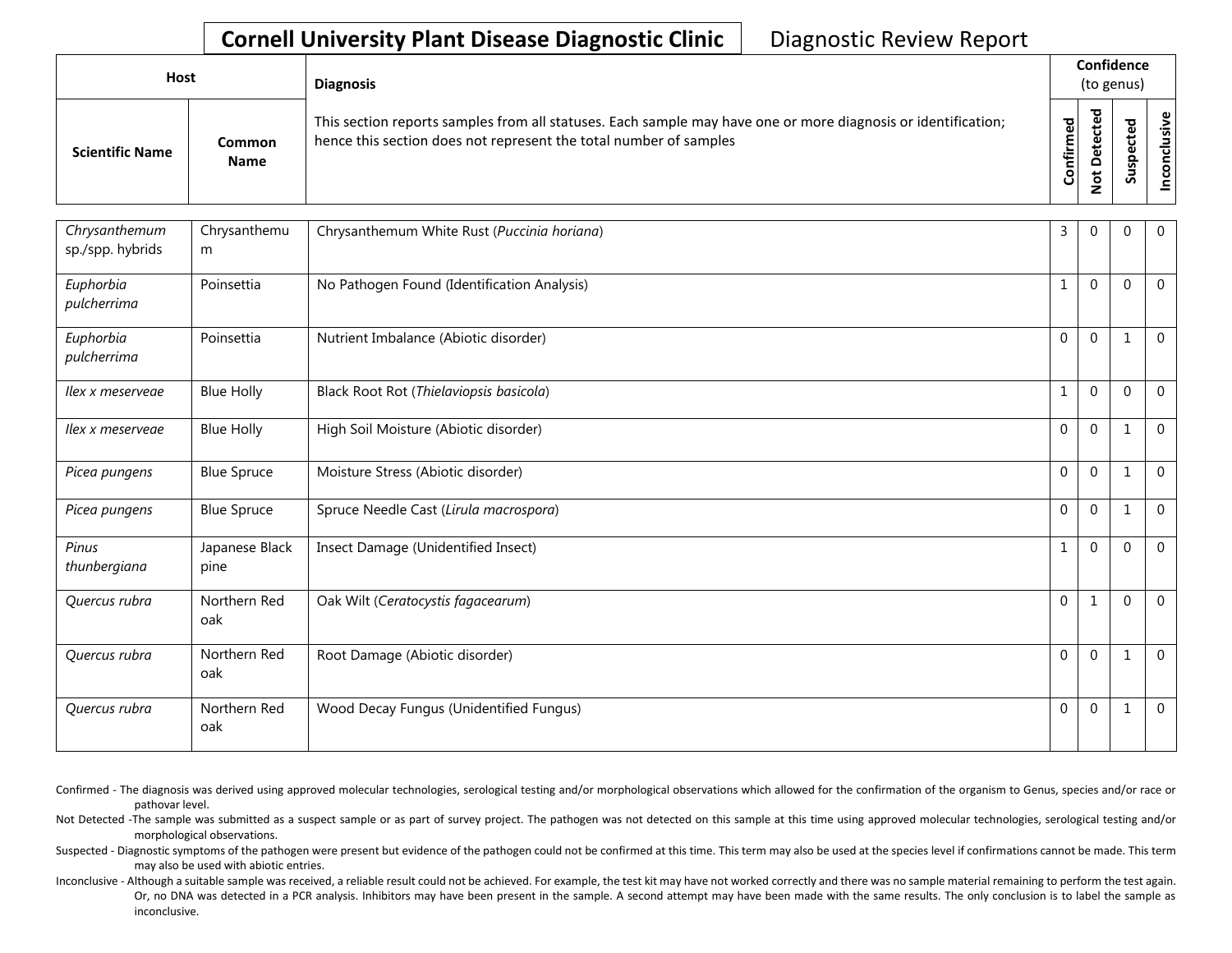## **Cornell University Plant Disease Diagnostic Clinic** | Diagnostic Review Report

| Host                   |                       | <b>Diagnosis</b>                                                                                                                                                                   |           | Confidence<br>(to genus) |  |                       |  |  |
|------------------------|-----------------------|------------------------------------------------------------------------------------------------------------------------------------------------------------------------------------|-----------|--------------------------|--|-----------------------|--|--|
| <b>Scientific Name</b> | Common<br><b>Name</b> | This section reports samples from all statuses. Each sample may have one or more diagnosis or identification;<br>hence this section does not represent the total number of samples | Confirmed | ᇃ<br>c                   |  | usive<br>᠊ᠣ<br>c<br>g |  |  |

| Chrysanthemum<br>sp./spp. hybrids | Chrysanthemu<br>m      | Chrysanthemum White Rust (Puccinia horiana) | 3            | $\Omega$     | $\Omega$     | $\overline{0}$ |
|-----------------------------------|------------------------|---------------------------------------------|--------------|--------------|--------------|----------------|
| Euphorbia<br>pulcherrima          | Poinsettia             | No Pathogen Found (Identification Analysis) | $\mathbf{1}$ | $\mathbf{0}$ | $\Omega$     | $\overline{0}$ |
| Euphorbia<br>pulcherrima          | Poinsettia             | Nutrient Imbalance (Abiotic disorder)       | $\mathbf 0$  | $\mathbf 0$  | 1            | $\mathbf 0$    |
| Ilex x meserveae                  | <b>Blue Holly</b>      | Black Root Rot (Thielaviopsis basicola)     | $\mathbf{1}$ | $\Omega$     | $\Omega$     | $\overline{0}$ |
| Ilex x meservege                  | <b>Blue Holly</b>      | High Soil Moisture (Abiotic disorder)       | $\mathbf 0$  | $\Omega$     | $\mathbf{1}$ | $\overline{0}$ |
| Picea pungens                     | <b>Blue Spruce</b>     | Moisture Stress (Abiotic disorder)          | $\mathbf{0}$ | $\Omega$     | $\mathbf{1}$ | $\overline{0}$ |
| Picea pungens                     | <b>Blue Spruce</b>     | Spruce Needle Cast (Lirula macrospora)      | $\mathbf{0}$ | $\mathbf{0}$ | $\mathbf{1}$ | $\overline{0}$ |
| Pinus<br>thunbergiana             | Japanese Black<br>pine | Insect Damage (Unidentified Insect)         | $\mathbf{1}$ | $\Omega$     | $\Omega$     | $\overline{0}$ |
| Quercus rubra                     | Northern Red<br>oak    | Oak Wilt (Ceratocystis fagacearum)          | $\mathbf{0}$ | $\mathbf{1}$ | $\Omega$     | $\mathbf{0}$   |
| Quercus rubra                     | Northern Red<br>oak    | Root Damage (Abiotic disorder)              | $\mathbf 0$  | $\mathbf 0$  | 1            | $\mathbf 0$    |
| Quercus rubra                     | Northern Red<br>oak    | Wood Decay Fungus (Unidentified Fungus)     | $\Omega$     | $\Omega$     | 1            | $\mathbf 0$    |

- Confirmed The diagnosis was derived using approved molecular technologies, serological testing and/or morphological observations which allowed for the confirmation of the organism to Genus, species and/or race or pathovar level.
- Not Detected -The sample was submitted as a suspect sample or as part of survey project. The pathogen was not detected on this sample at this time using approved molecular technologies, serological testing and/or morphological observations.
- Suspected Diagnostic symptoms of the pathogen were present but evidence of the pathogen could not be confirmed at this time. This term may also be used at the species level if confirmations cannot be made. This term may also be used with abiotic entries.
- Inconclusive Although a suitable sample was received, a reliable result could not be achieved. For example, the test kit may have not worked correctly and there was no sample material remaining to perform the test again. Or, no DNA was detected in a PCR analysis. Inhibitors may have been present in the sample. A second attempt may have been made with the same results. The only conclusion is to label the sample as inconclusive.